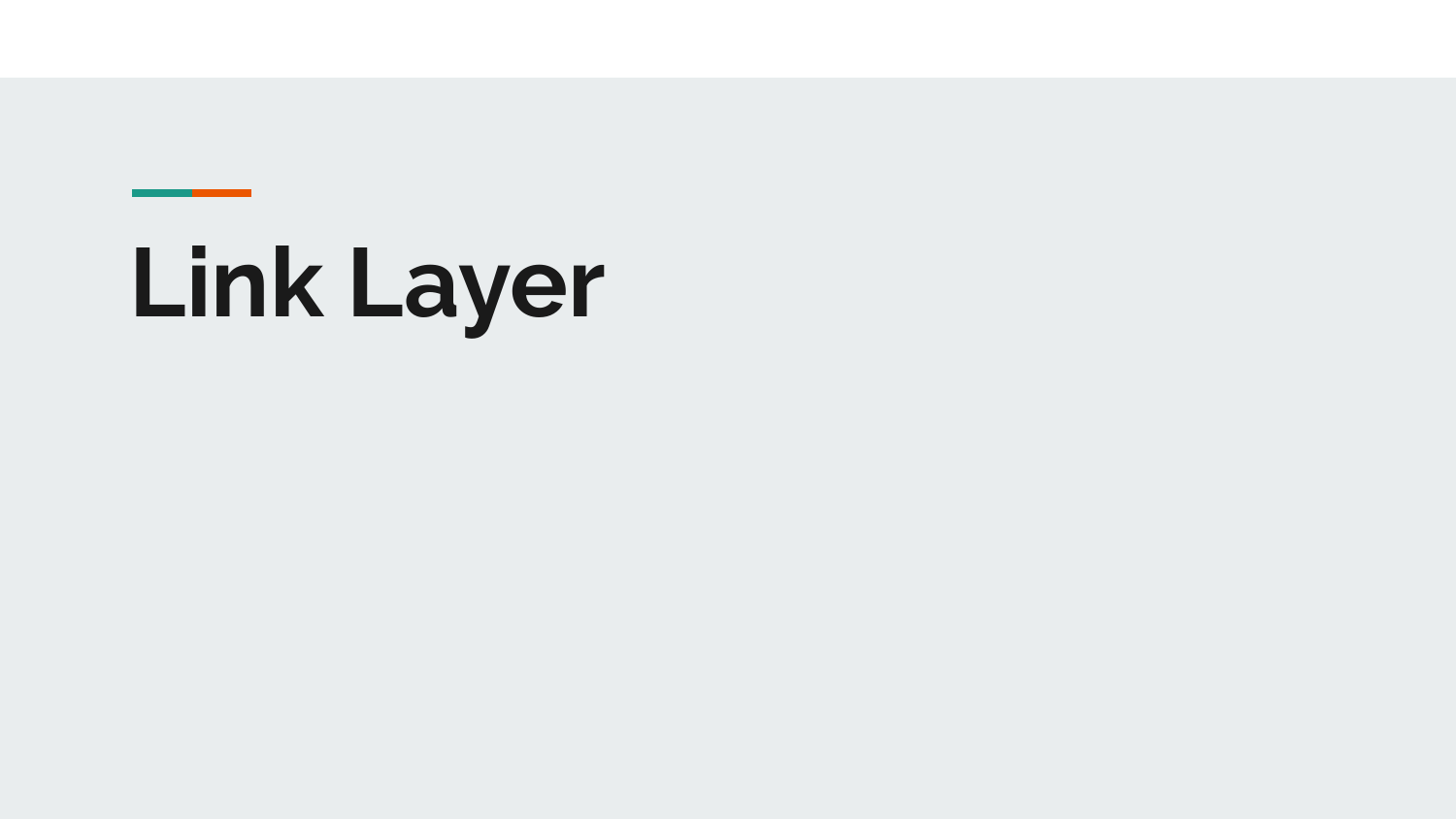# **Link Layer**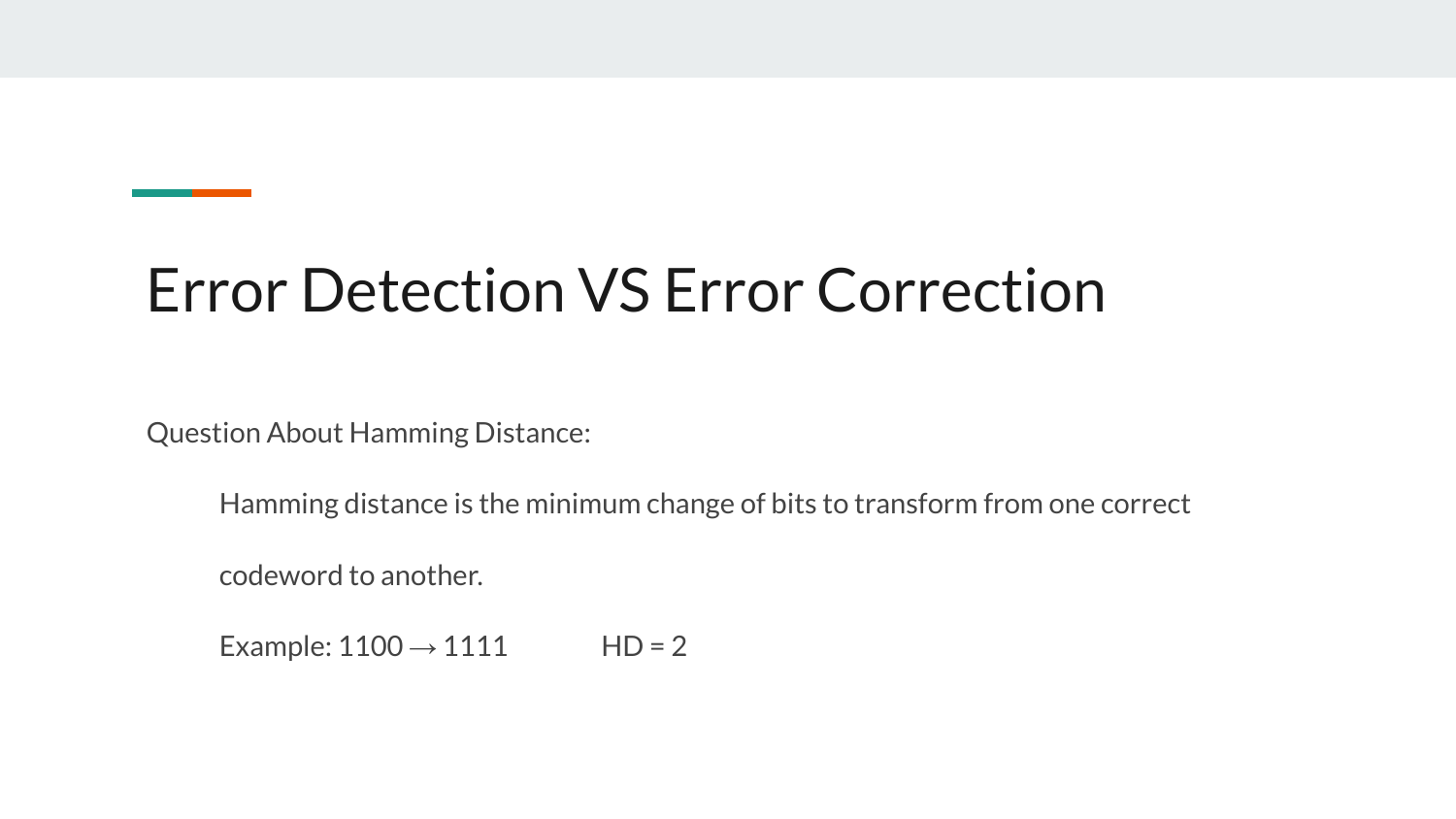# Error Detection VS Error Correction

Question About Hamming Distance:

Hamming distance is the minimum change of bits to transform from one correct

codeword to another.

Example:  $1100 \rightarrow 1111$  HD = 2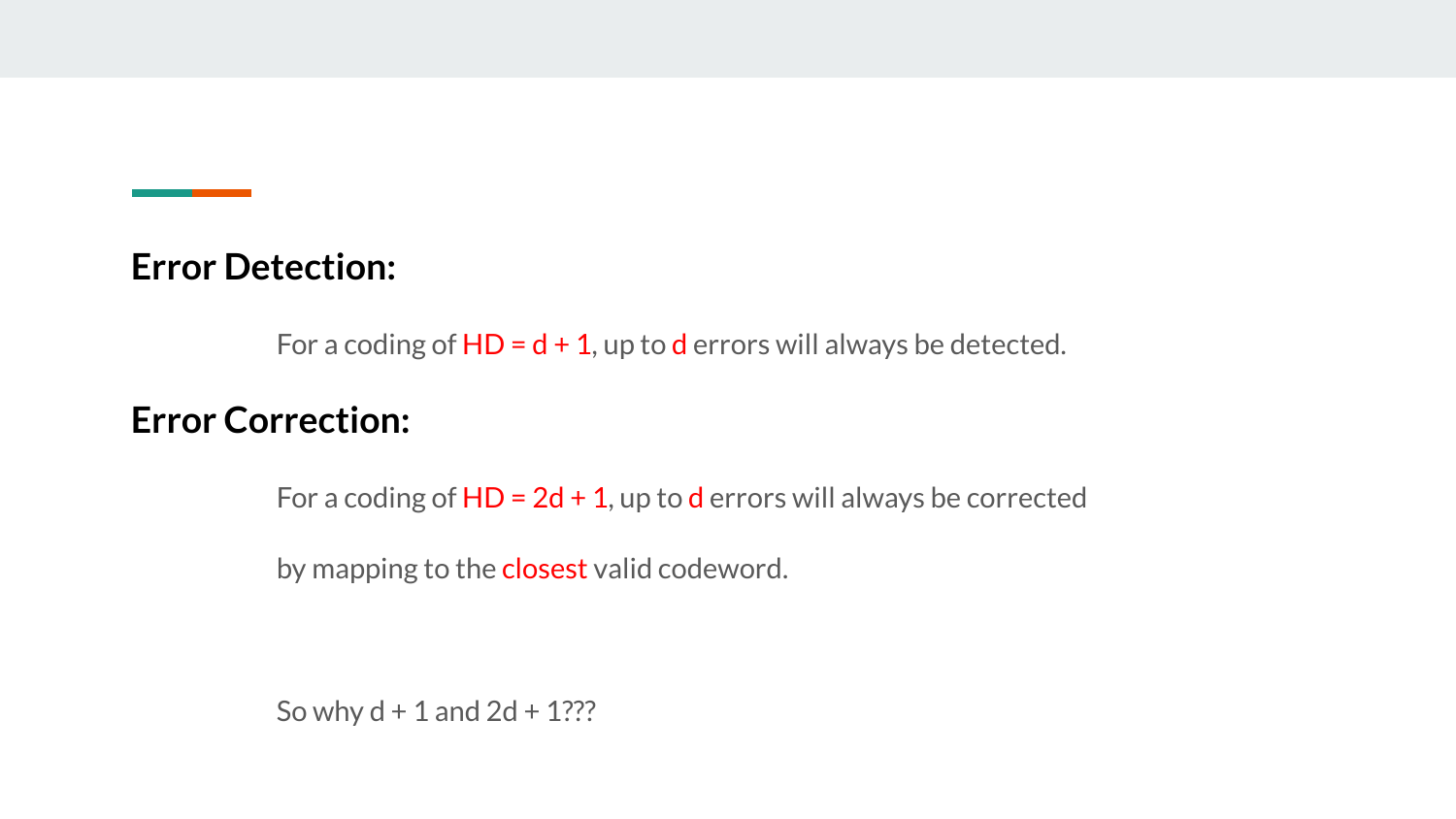#### **Error Detection:**

For a coding of  $HD = d + 1$ , up to d errors will always be detected.

#### **Error Correction:**

For a coding of  $HD = 2d + 1$ , up to d errors will always be corrected

by mapping to the **closest** valid codeword.

So why  $d + 1$  and  $2d + 1$ ???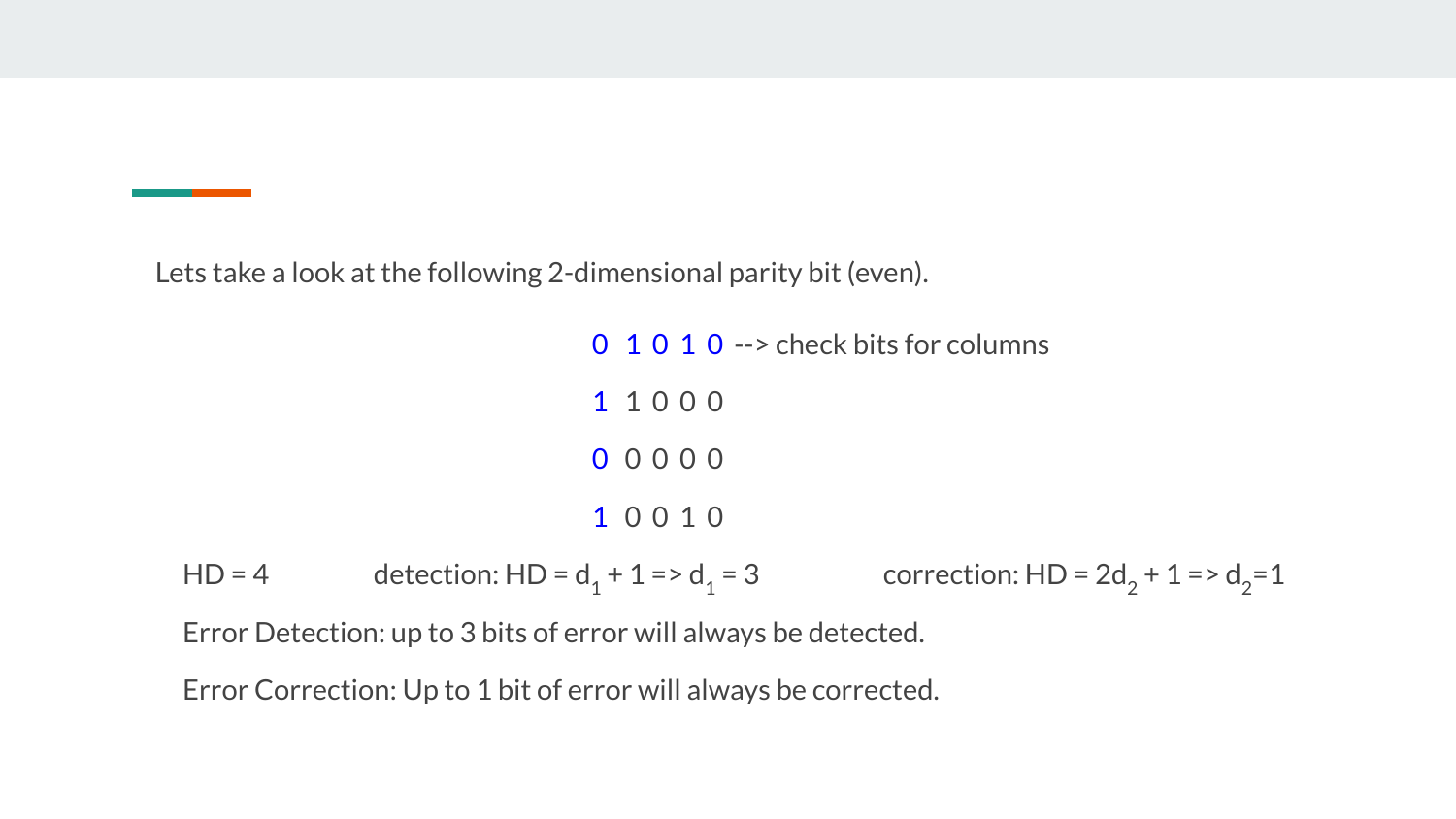Lets take a look at the following 2-dimensional parity bit (even).

0 1 0 1 0 --> check bits for columns 1 1 0 0 0 0 0 0 0 0 1 0 0 1 0  $HD = 4$  detection:  $HD = d_1 + 1 = > d_1 = 1$ = 3 correction:  $HD = 2d_2 + 1 = > d_2 = 1$ Error Detection: up to 3 bits of error will always be detected.

Error Correction: Up to 1 bit of error will always be corrected.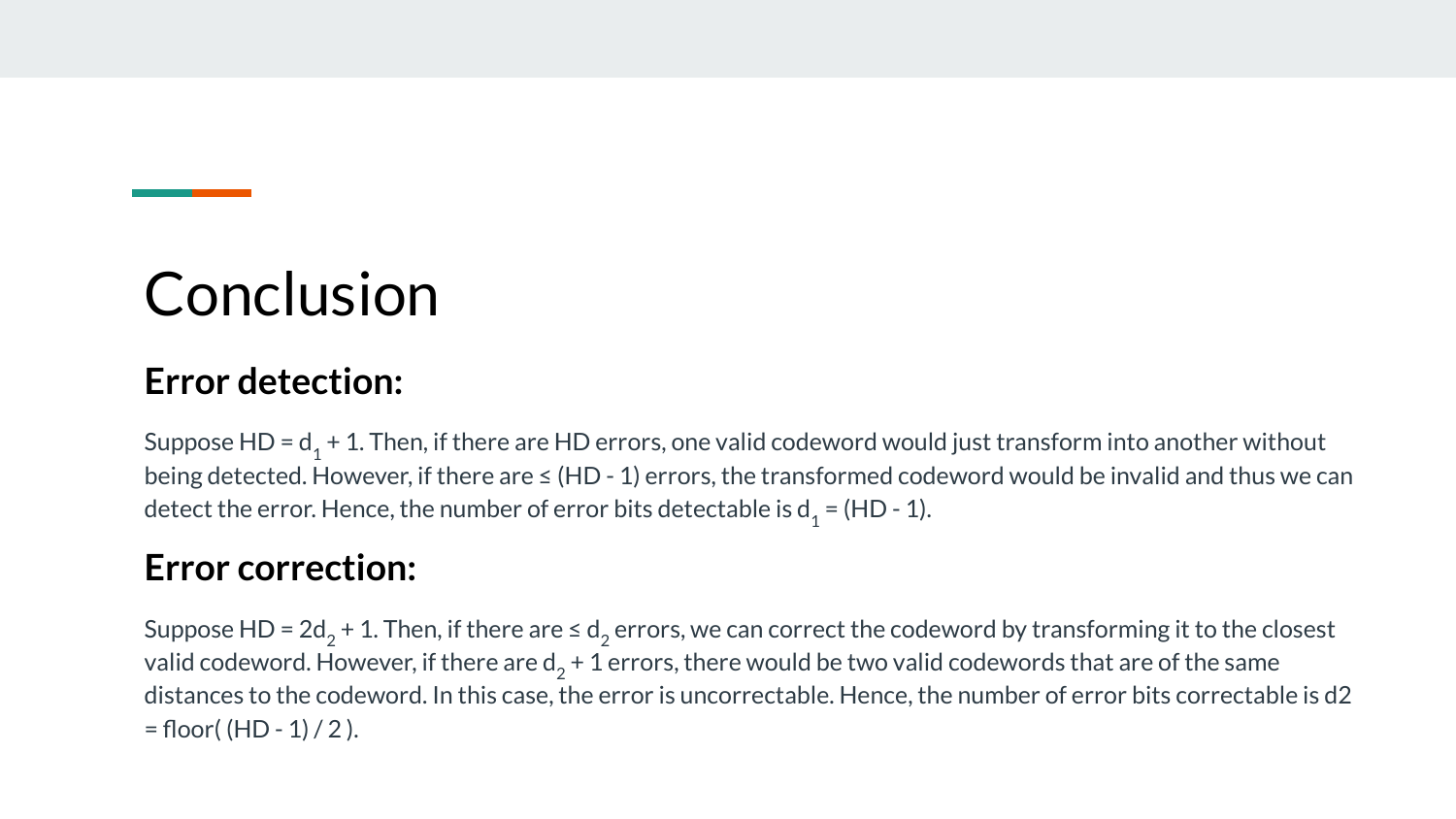# Conclusion

#### **Error detection:**

Suppose HD = d $_1$  + 1. Then, if there are HD errors, one valid codeword would just transform into another without being detected. However, if there are ≤ (HD - 1) errors, the transformed codeword would be invalid and thus we can detect the error. Hence, the number of error bits detectable is d<sub>1</sub> = (HD - 1).

#### **Error correction:**

Suppose HD = 2d $_2$  + 1. Then, if there are ≤ d $_2$  errors, we can correct the codeword by transforming it to the closest valid codeword. However, if there are d $_2$  + 1 errors, there would be two valid codewords that are of the same distances to the codeword. In this case, the error is uncorrectable. Hence, the number of error bits correctable is d2  $=$  floor( (HD - 1) / 2).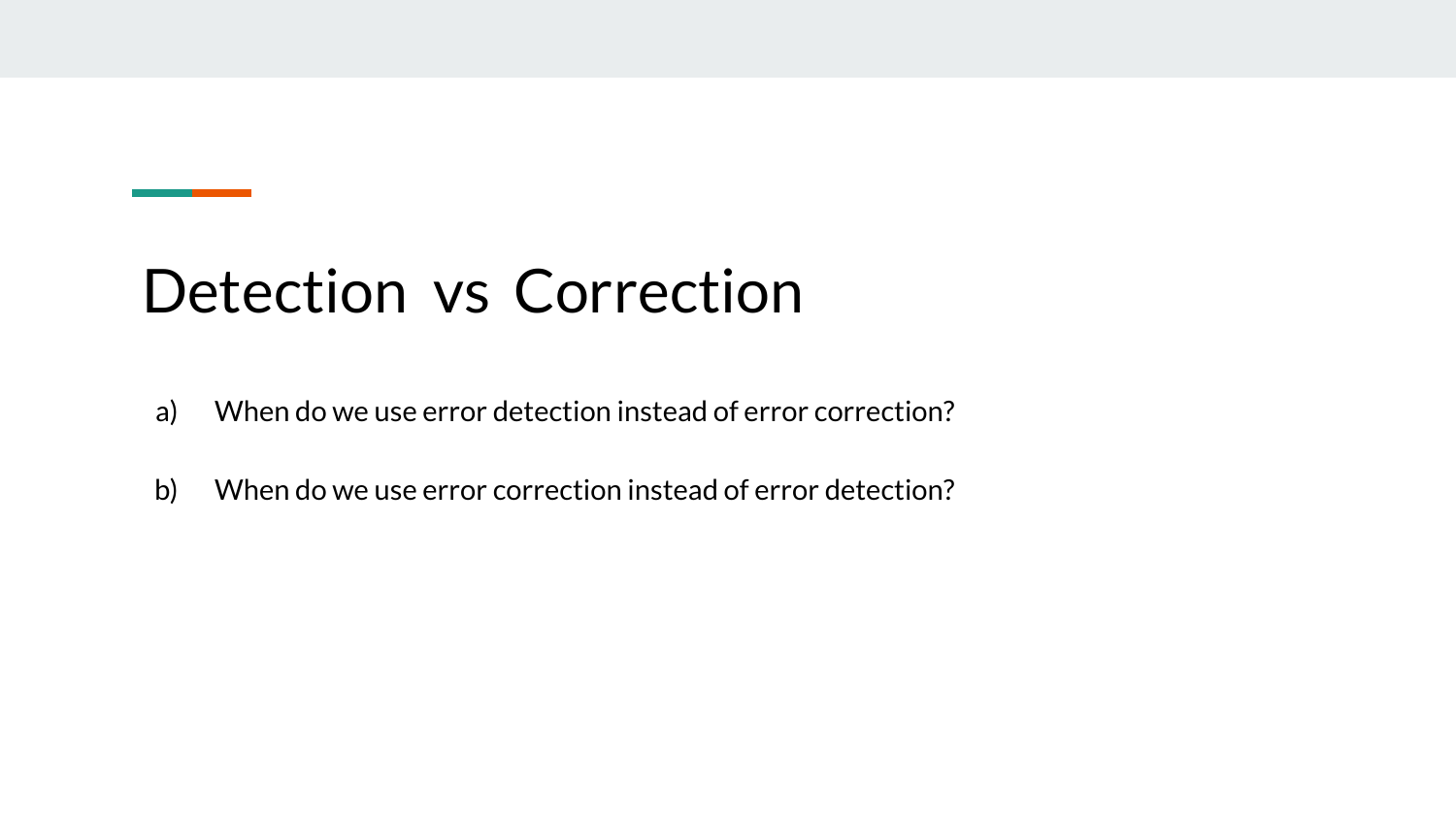# Detection vs Correction

- a) When do we use error detection instead of error correction?
- b) When do we use error correction instead of error detection?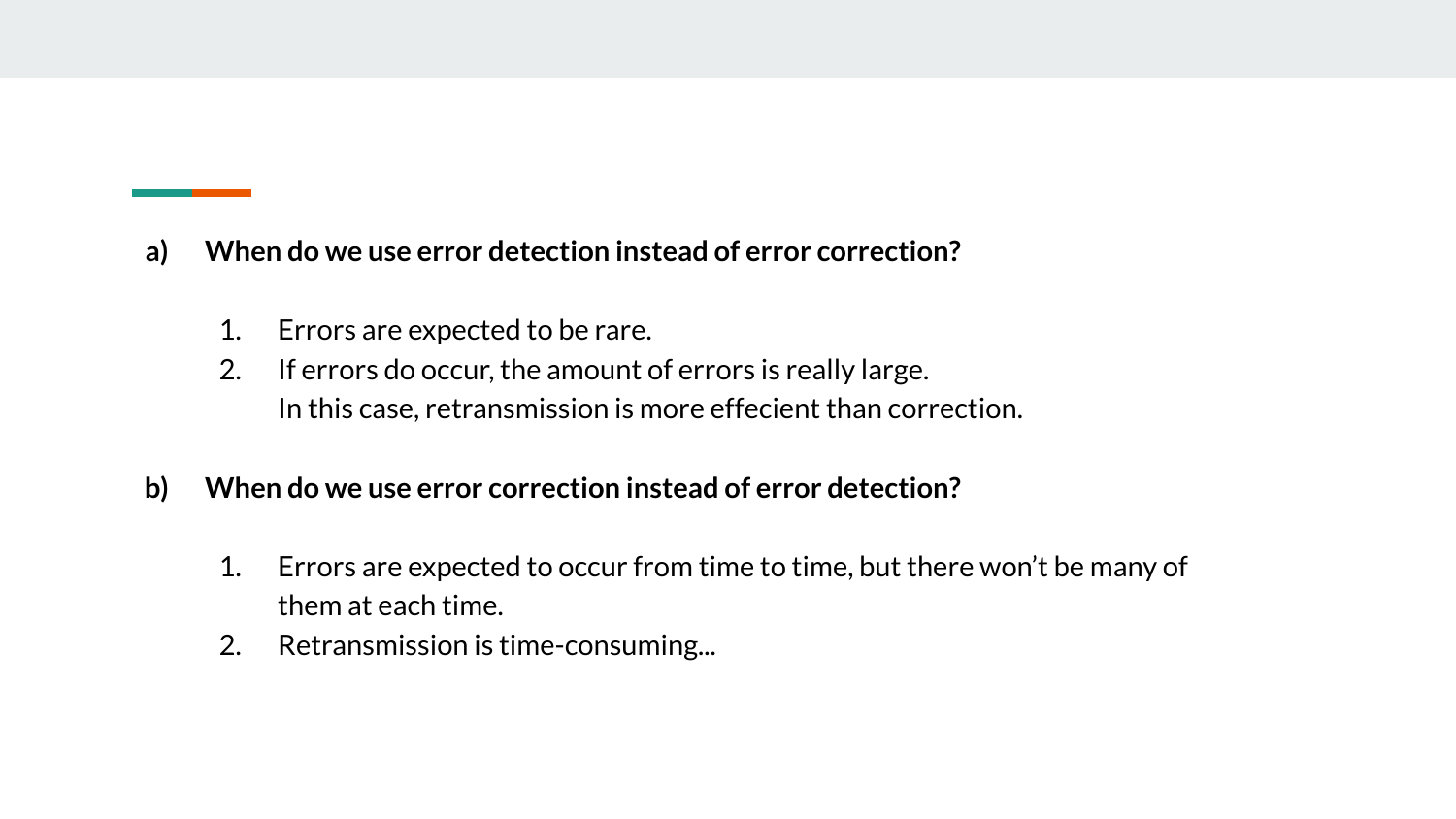- **a) When do we use error detection instead of error correction?**
	- 1. Errors are expected to be rare.
	- 2. If errors do occur, the amount of errors is really large. In this case, retransmission is more effecient than correction.
- **b) When do we use error correction instead of error detection?** 
	- 1. Errors are expected to occur from time to time, but there won't be many of them at each time.
	- 2. Retransmission is time-consuming...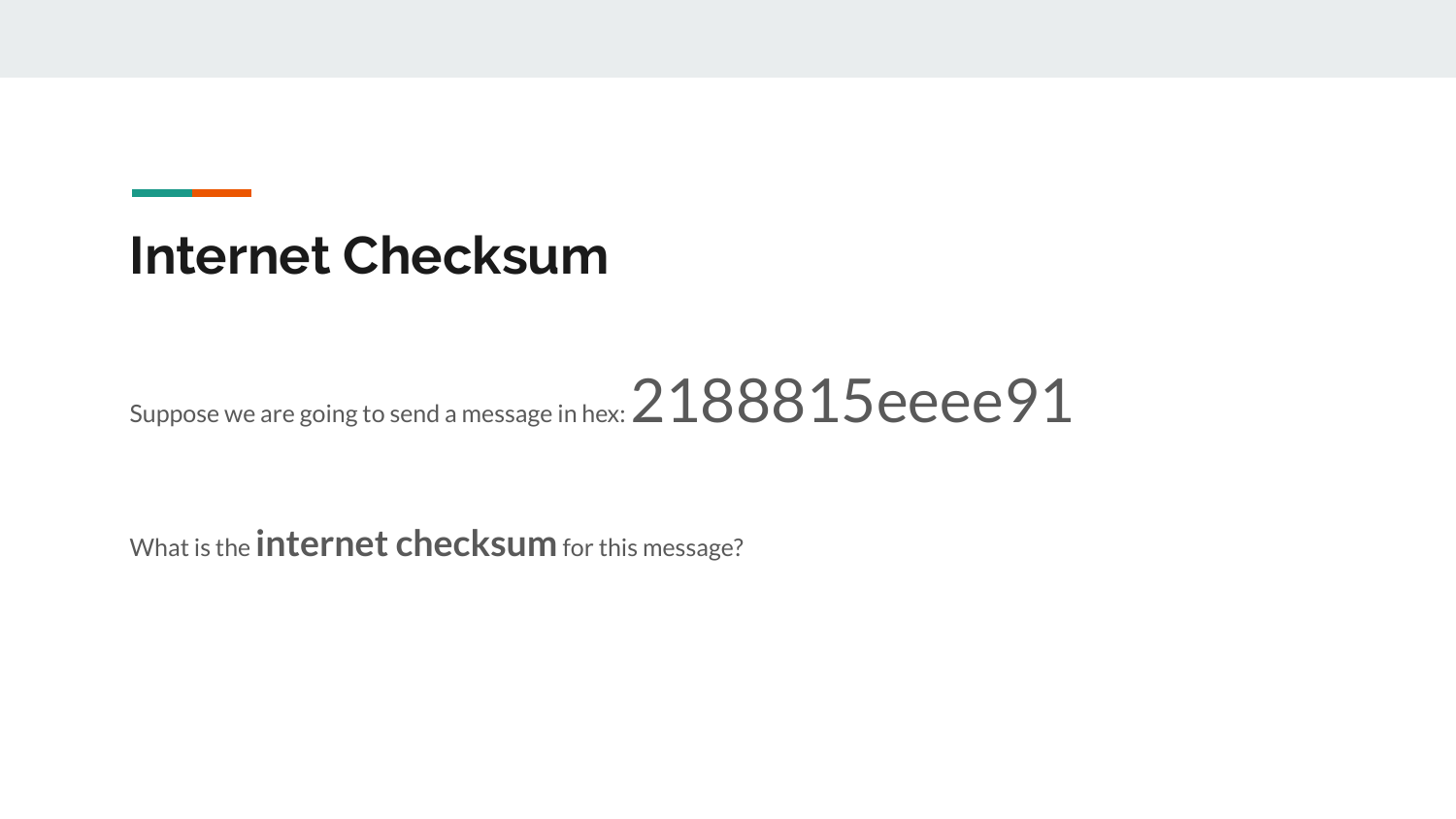#### **Internet Checksum**

#### Suppose we are going to send a message in hex:  $2188815eeee91$

What is the **internet checksum** for this message?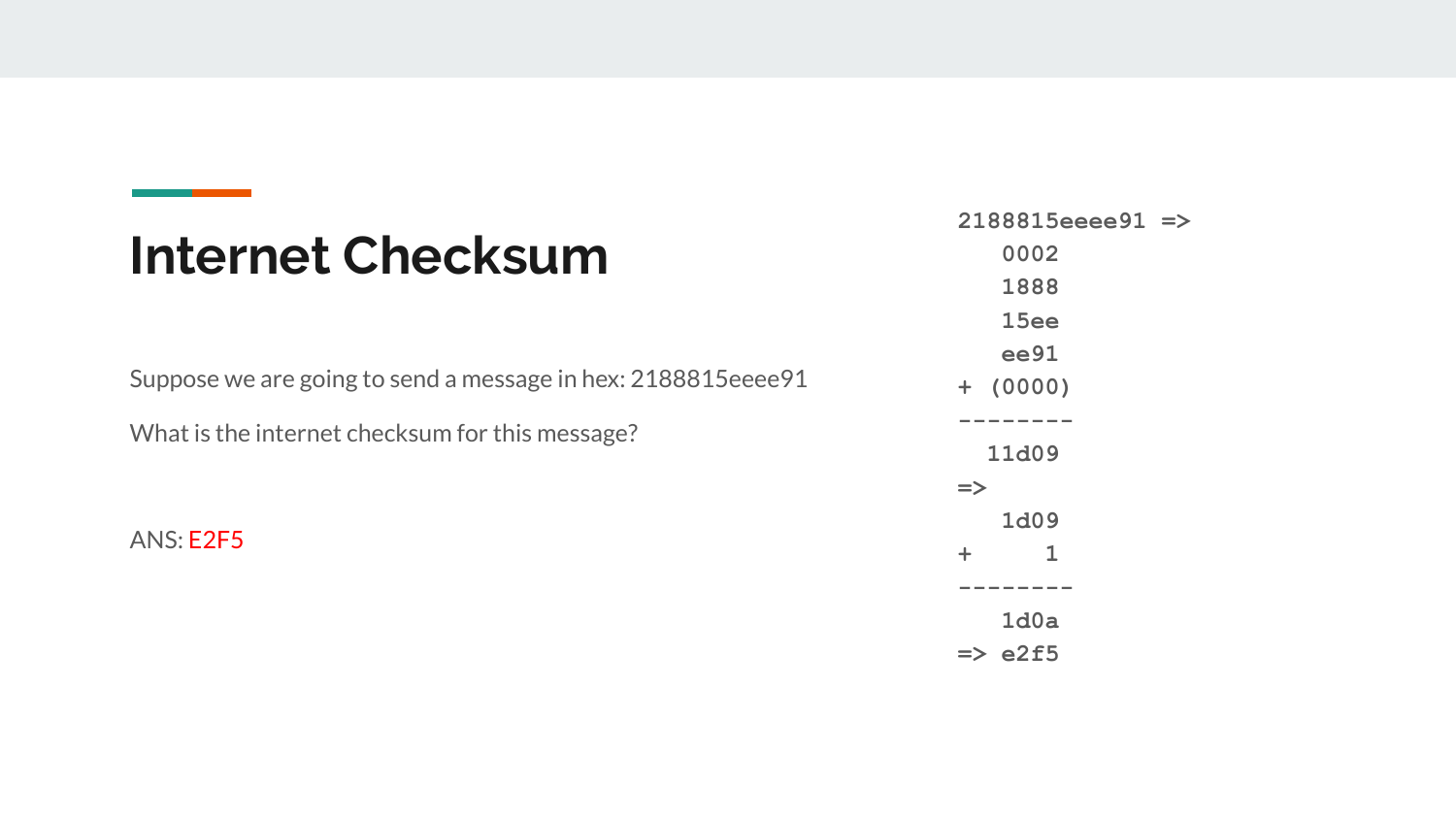|                                                              | $2188815$ eeee $91$ => |  |  |  |  |  |
|--------------------------------------------------------------|------------------------|--|--|--|--|--|
| <b>Internet Checksum</b>                                     | 0002                   |  |  |  |  |  |
|                                                              | 1888                   |  |  |  |  |  |
|                                                              | 15ee                   |  |  |  |  |  |
|                                                              | ee91                   |  |  |  |  |  |
| Suppose we are going to send a message in hex: 2188815eeee91 | (0000)<br>$+$          |  |  |  |  |  |
| What is the internet checksum for this message?              |                        |  |  |  |  |  |
|                                                              | 11d09                  |  |  |  |  |  |
|                                                              | $\Rightarrow$          |  |  |  |  |  |
|                                                              | 1d09                   |  |  |  |  |  |
| ANS: E2F5                                                    | 1<br>$\ddot{}$         |  |  |  |  |  |
|                                                              |                        |  |  |  |  |  |
|                                                              | 1d0a                   |  |  |  |  |  |
|                                                              | $\Rightarrow$ e2f5     |  |  |  |  |  |

the control of the control of the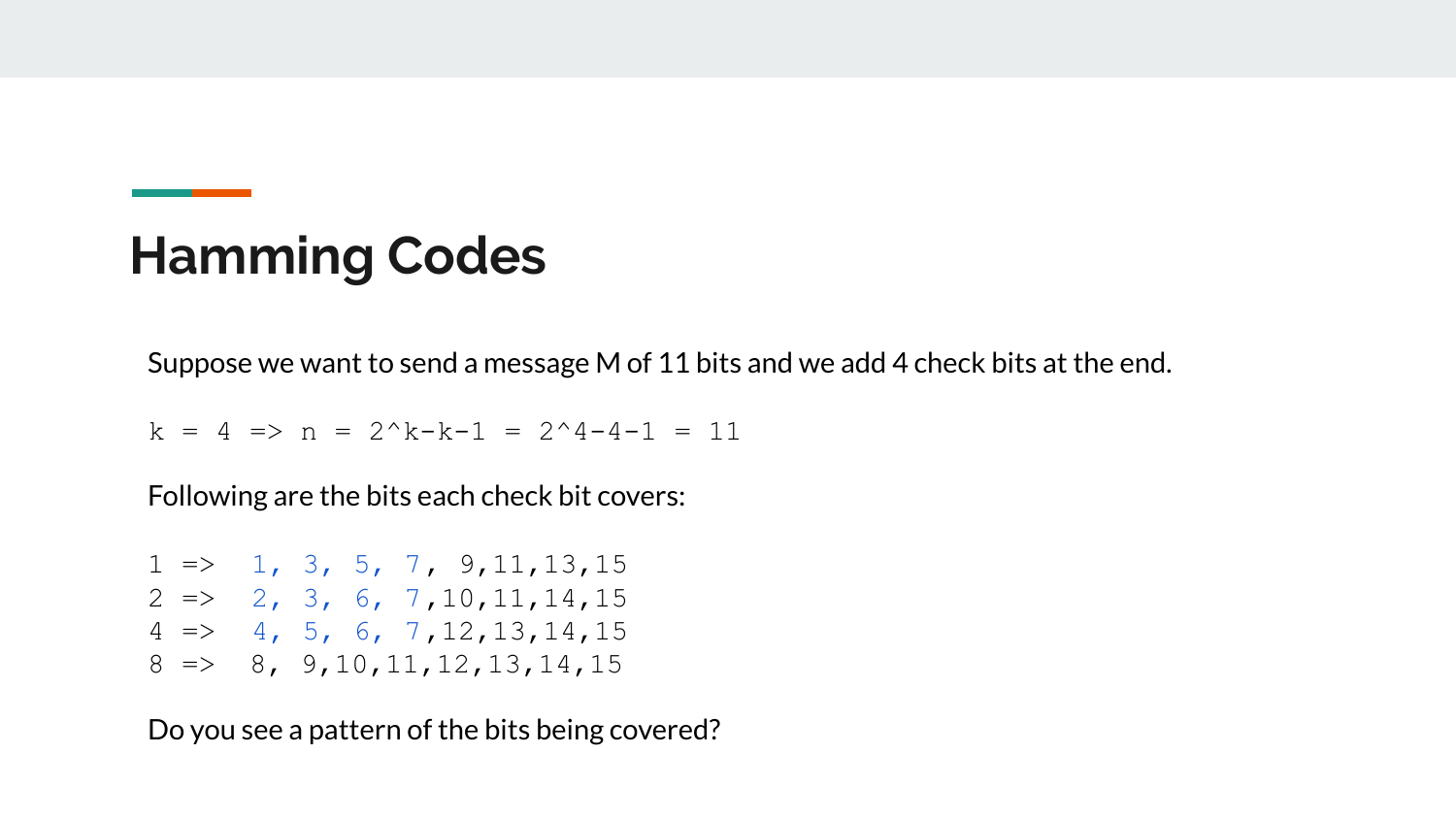Suppose we want to send a message M of 11 bits and we add 4 check bits at the end.

 $k = 4 \Rightarrow n = 2^k - k - 1 = 2^k - 4 - 1 = 11$ 

Following are the bits each check bit covers:

 $1 \Rightarrow 1, 3, 5, 7, 9, 11, 13, 15$  $2 \Rightarrow 2, 3, 6, 7, 10, 11, 14, 15$  $4 \Rightarrow 4, 5, 6, 7, 12, 13, 14, 15$  $8 \implies 8, 9, 10, 11, 12, 13, 14, 15$ 

Do you see a pattern of the bits being covered?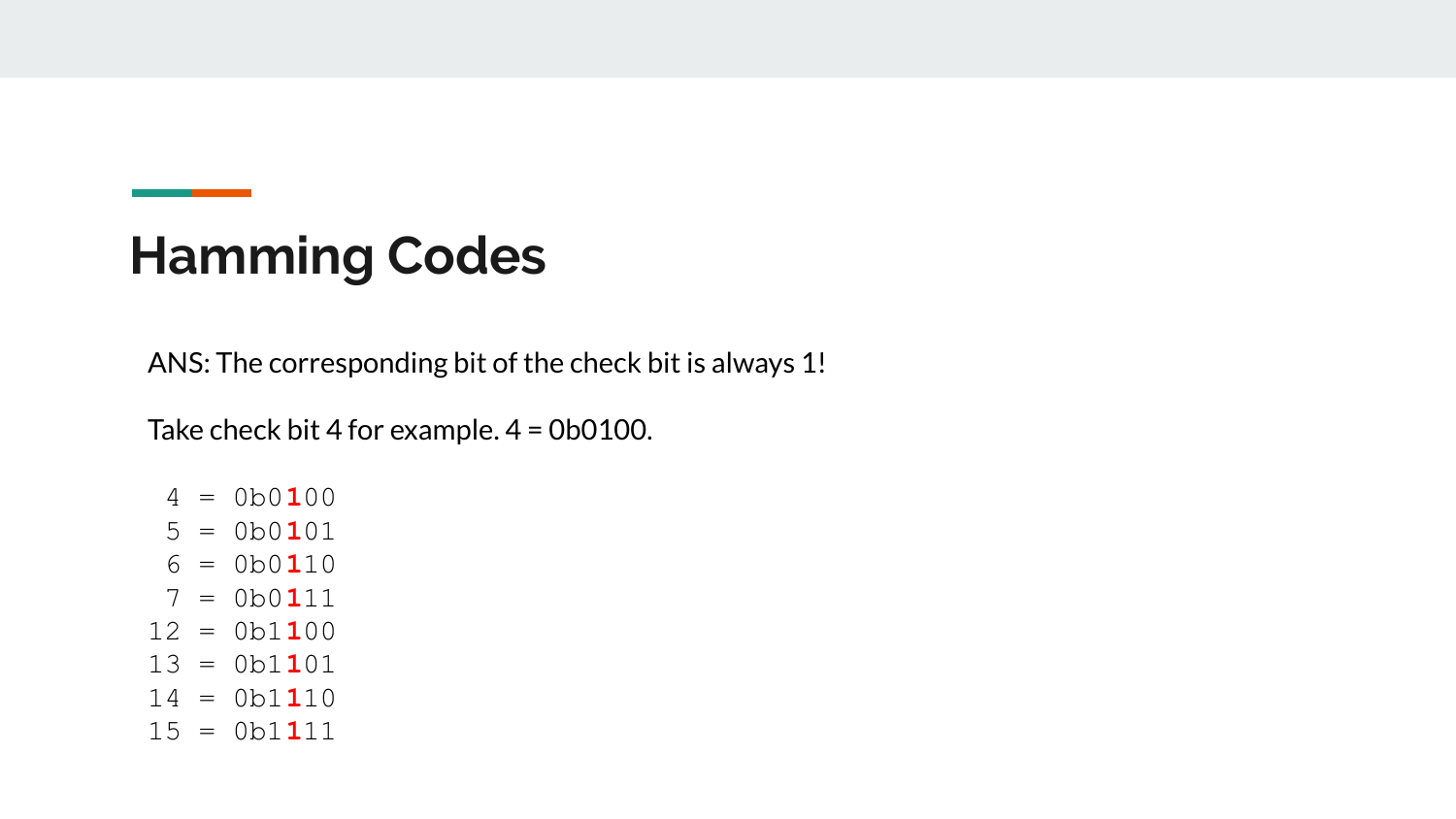ANS: The corresponding bit of the check bit is always 1!

Take check bit 4 for example. 4 = 0b0100.

 4 = 0b0**1**00 5 = 0b0**1**01 6 = 0b0**1**10 7 = 0b0**1**11 12 = 0b1**1**00 13 = 0b1**1**01 14 = 0b1**1**10 15 = 0b1**1**11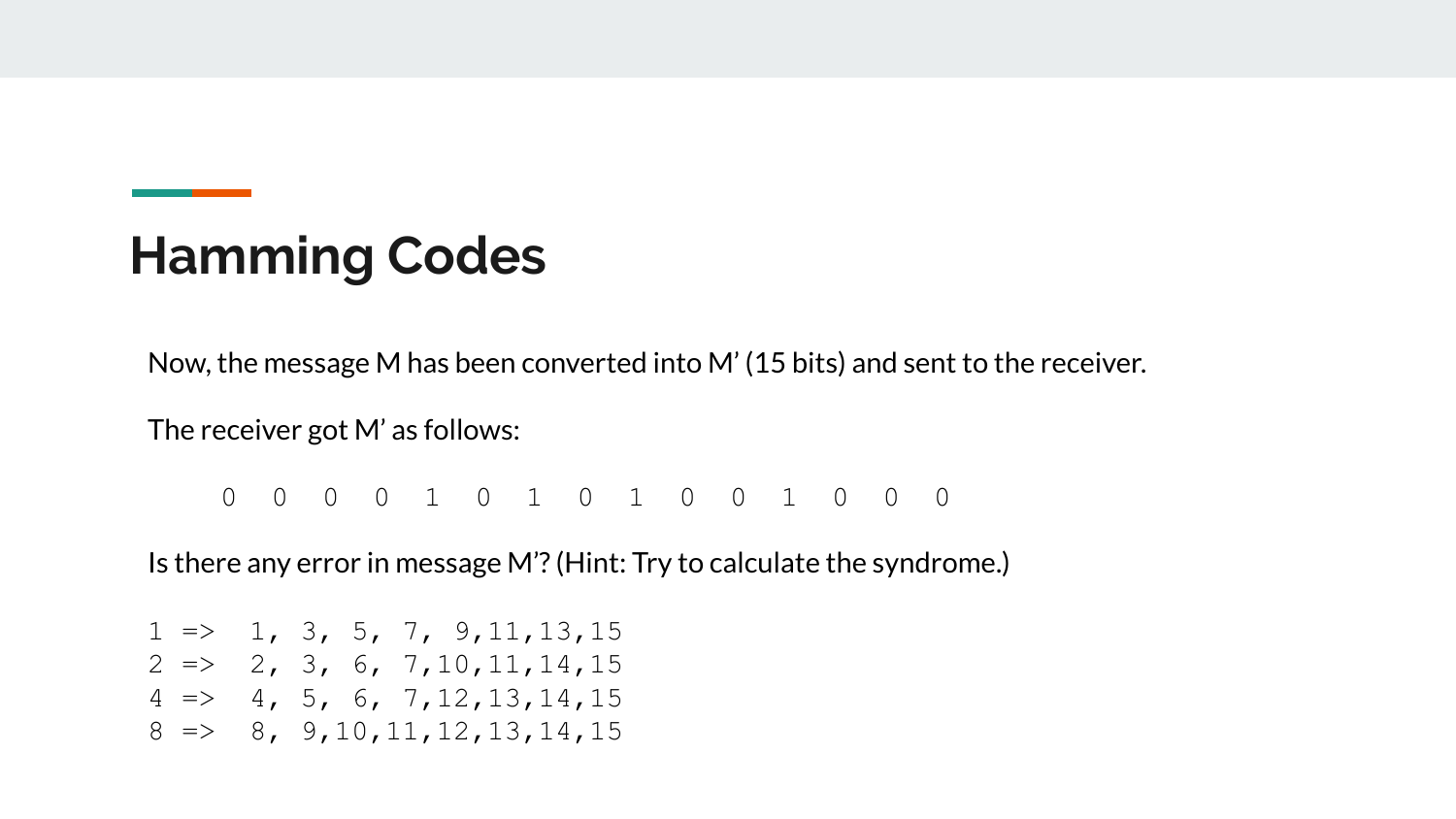Now, the message M has been converted into M' (15 bits) and sent to the receiver.

The receiver got M' as follows:

0 0 0 0 1 0 1 0 1 0 0 1 0 0 0

Is there any error in message M'? (Hint: Try to calculate the syndrome.)

 $1 \Rightarrow 1, 3, 5, 7, 9, 11, 13, 15$  $2 \Rightarrow 2, 3, 6, 7, 10, 11, 14, 15$  $4 \Rightarrow 4, 5, 6, 7, 12, 13, 14, 15$  $8 \implies 8, 9, 10, 11, 12, 13, 14, 15$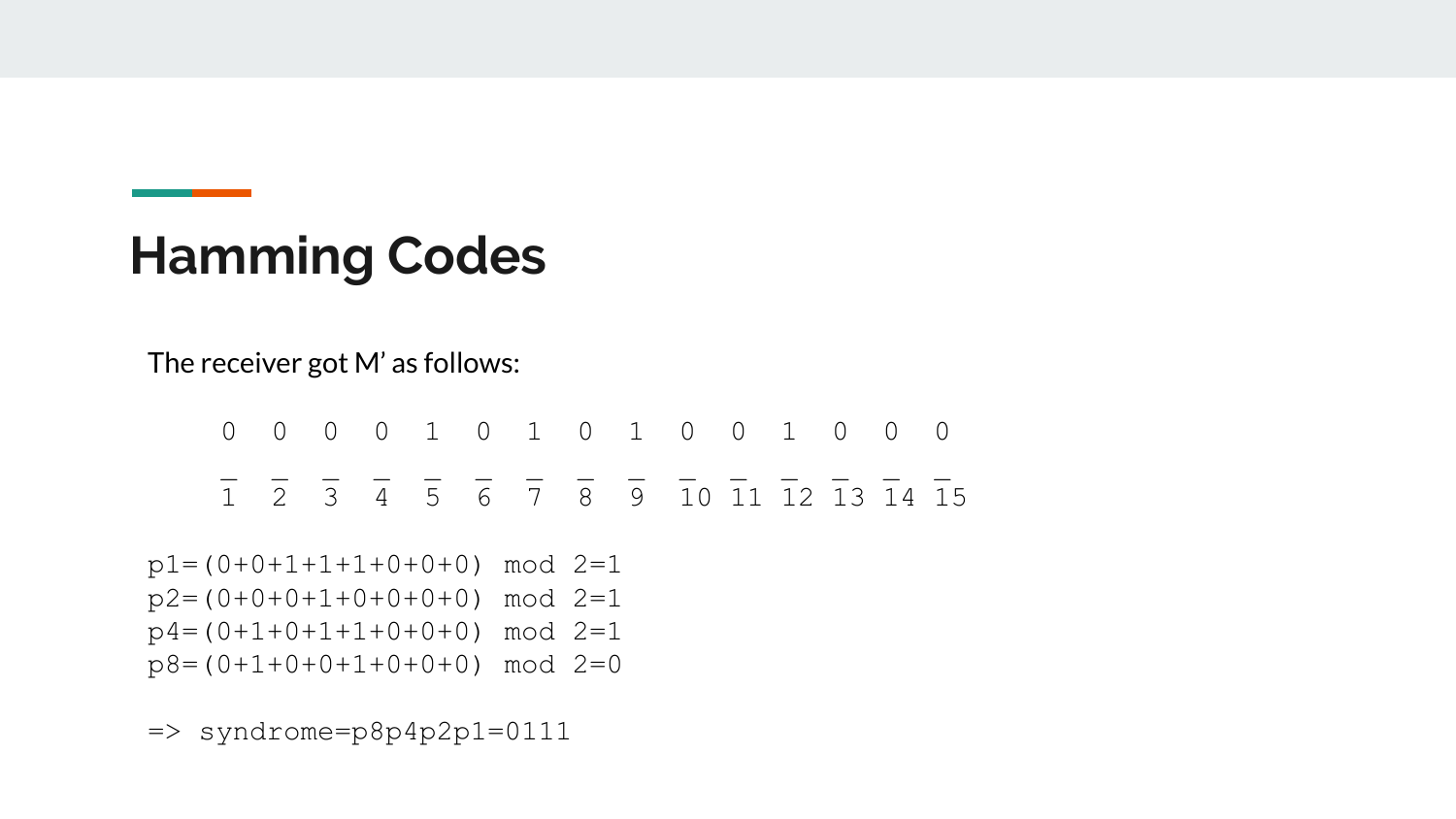The receiver got M' as follows:

|  |  |  |  | 0 0 0 0 1 0 1 0 1 0 0 1 0 0 0                                |  |  |  |
|--|--|--|--|--------------------------------------------------------------|--|--|--|
|  |  |  |  | _____________________<br>1 2 3 4 5 6 7 8 9 10 11 12 13 14 15 |  |  |  |

p1=(0+0+1+1+1+0+0+0) mod 2=1 p2=(0+0+0+1+0+0+0+0) mod 2=1 p4=(0+1+0+1+1+0+0+0) mod 2=1 p8=(0+1+0+0+1+0+0+0) mod 2=0

=> syndrome=p8p4p2p1=0111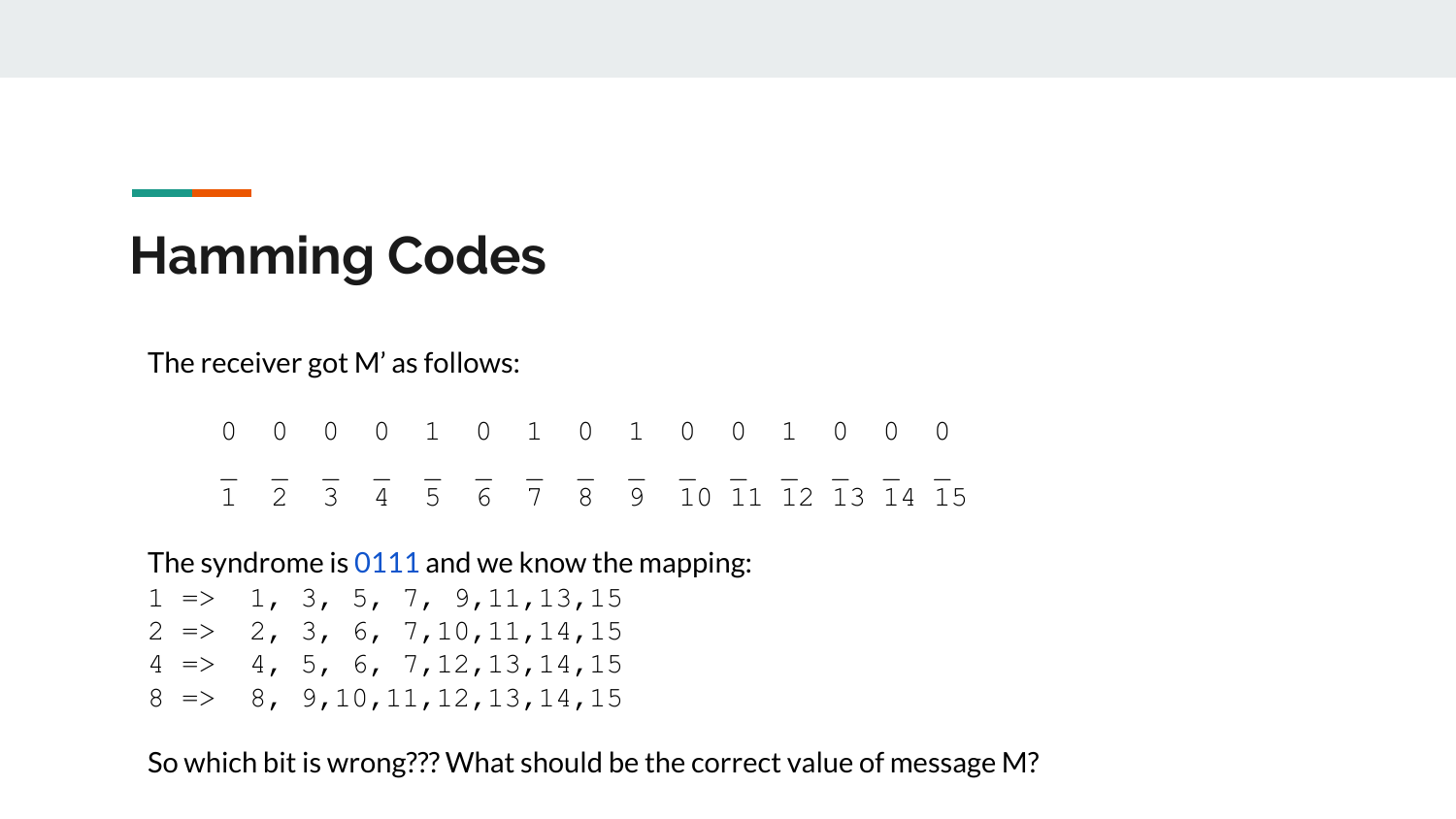The receiver got M' as follows:

0 0 0 0 1 0 1 0 1 0 0 1 0 0 0 1 2 3 4 5 6 7 8 9 10 11 12 13 14 15

The syndrome is  $0111$  and we know the mapping:

 $1 \Rightarrow 1, 3, 5, 7, 9, 11, 13, 15$  $2 \Rightarrow 2, 3, 6, 7, 10, 11, 14, 15$  $4 \Rightarrow 4, 5, 6, 7, 12, 13, 14, 15$  $8 \implies 8, 9, 10, 11, 12, 13, 14, 15$ 

So which bit is wrong??? What should be the correct value of message M?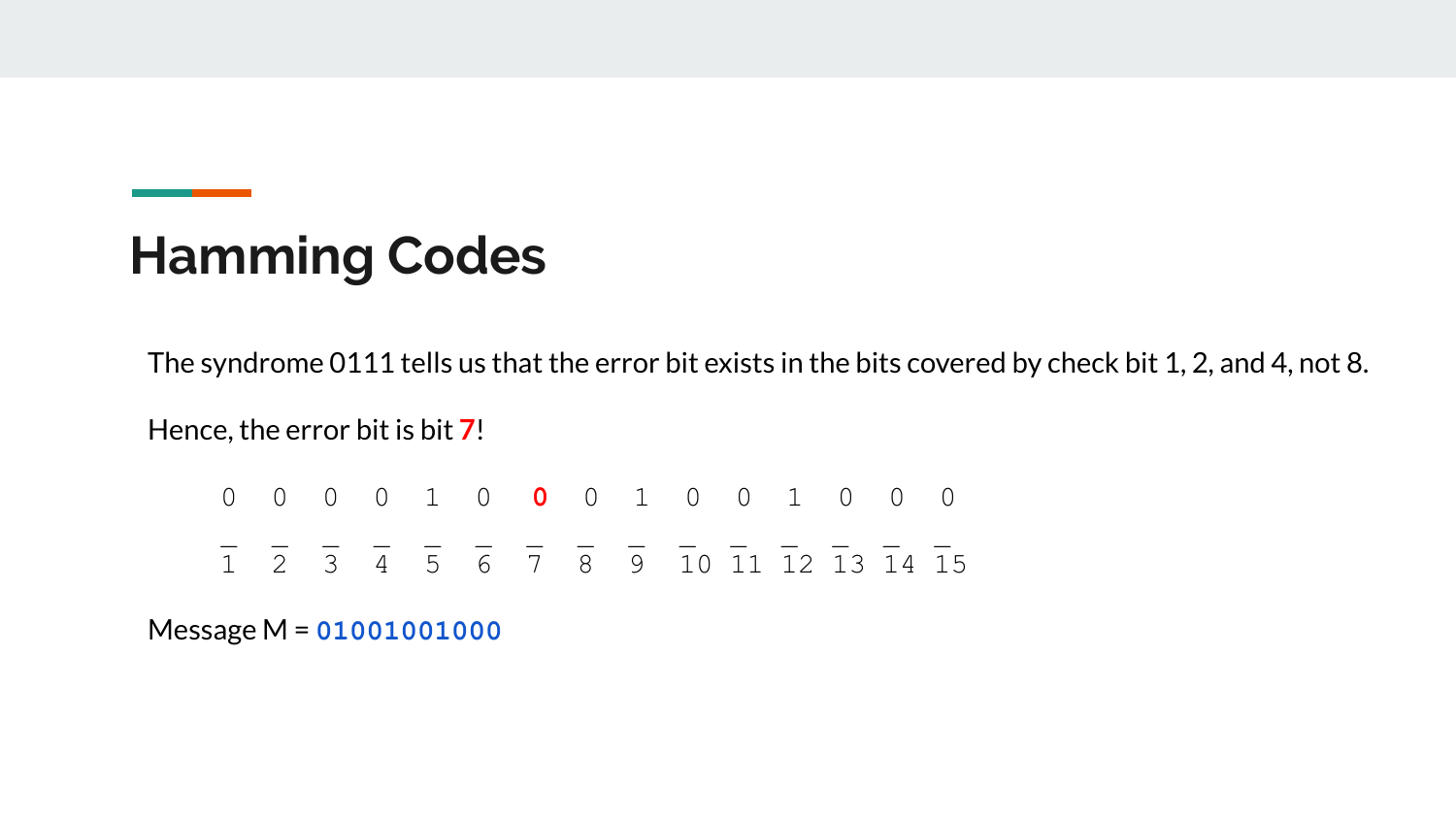The syndrome 0111 tells us that the error bit exists in the bits covered by check bit 1, 2, and 4, not 8.

Hence, the error bit is bit **7**!

|  |  |  |  | 0 0 0 0 1 0 0 0 1 0 0 1 0 0 0                          |  |  |  |
|--|--|--|--|--------------------------------------------------------|--|--|--|
|  |  |  |  | _______________<br>1 2 3 4 5 6 7 8 9 10 11 12 13 14 15 |  |  |  |

Message M = **01001001000**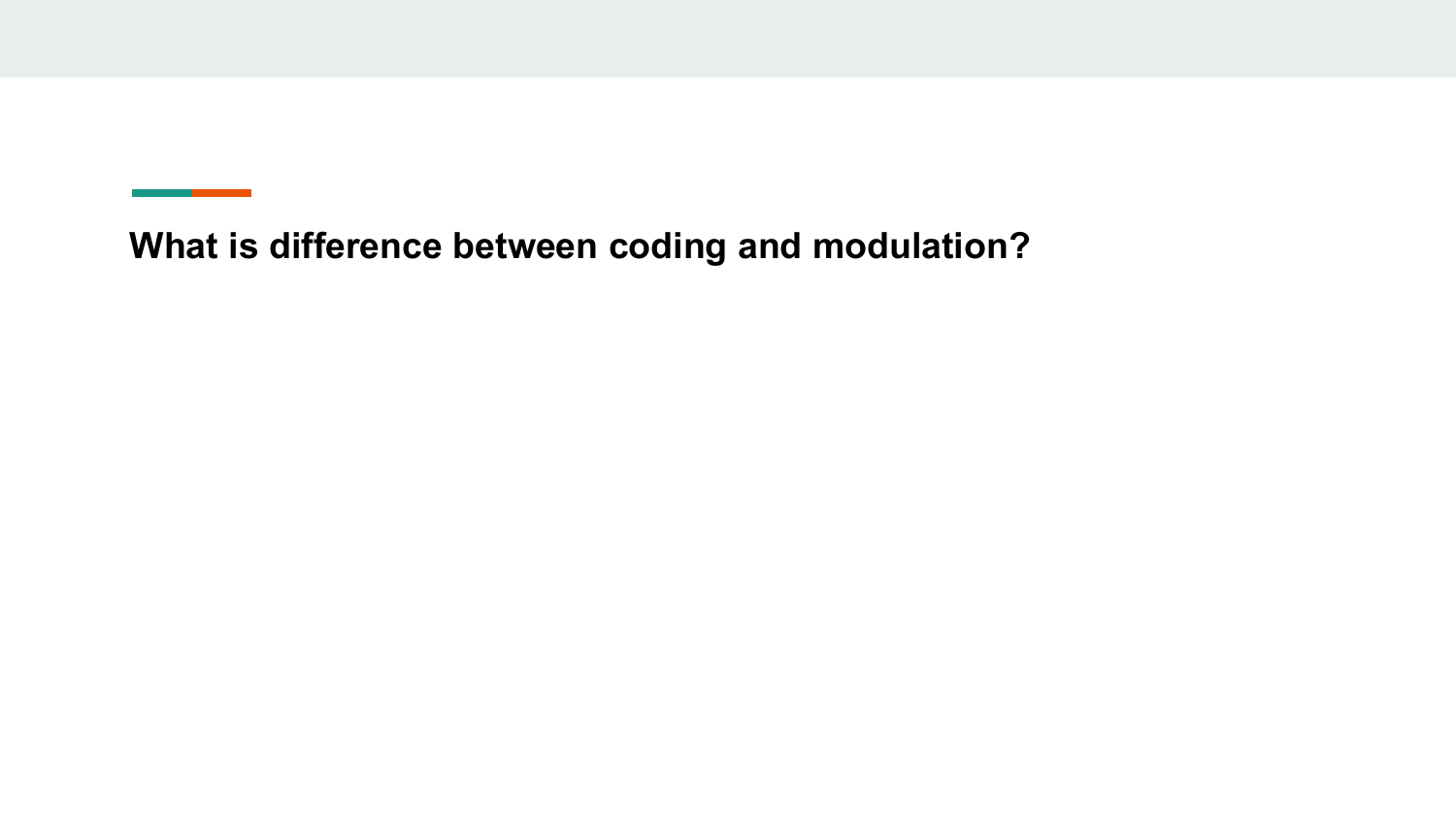**What is difference between coding and modulation?**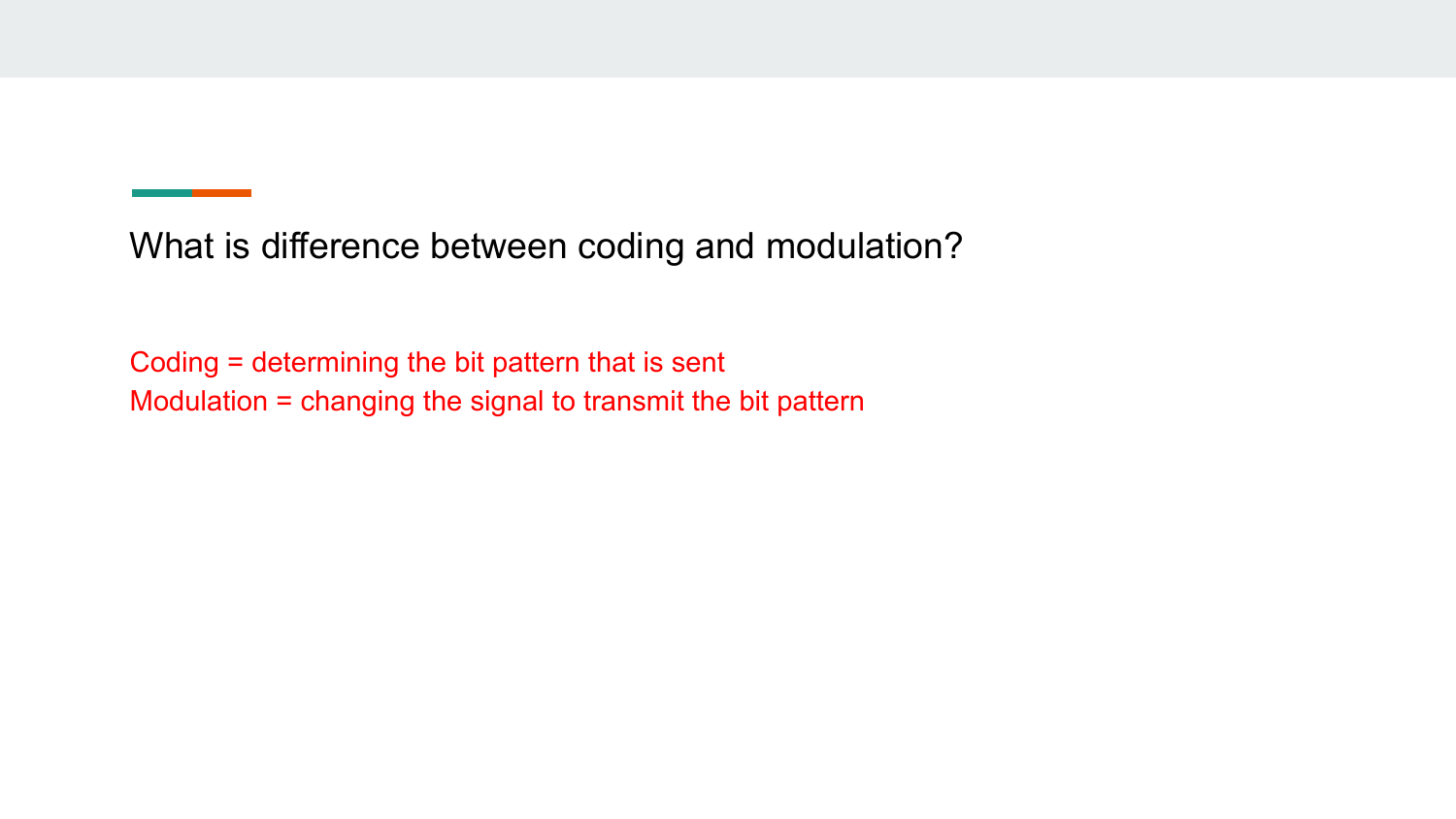What is difference between coding and modulation?

Coding = determining the bit pattern that is sent Modulation = changing the signal to transmit the bit pattern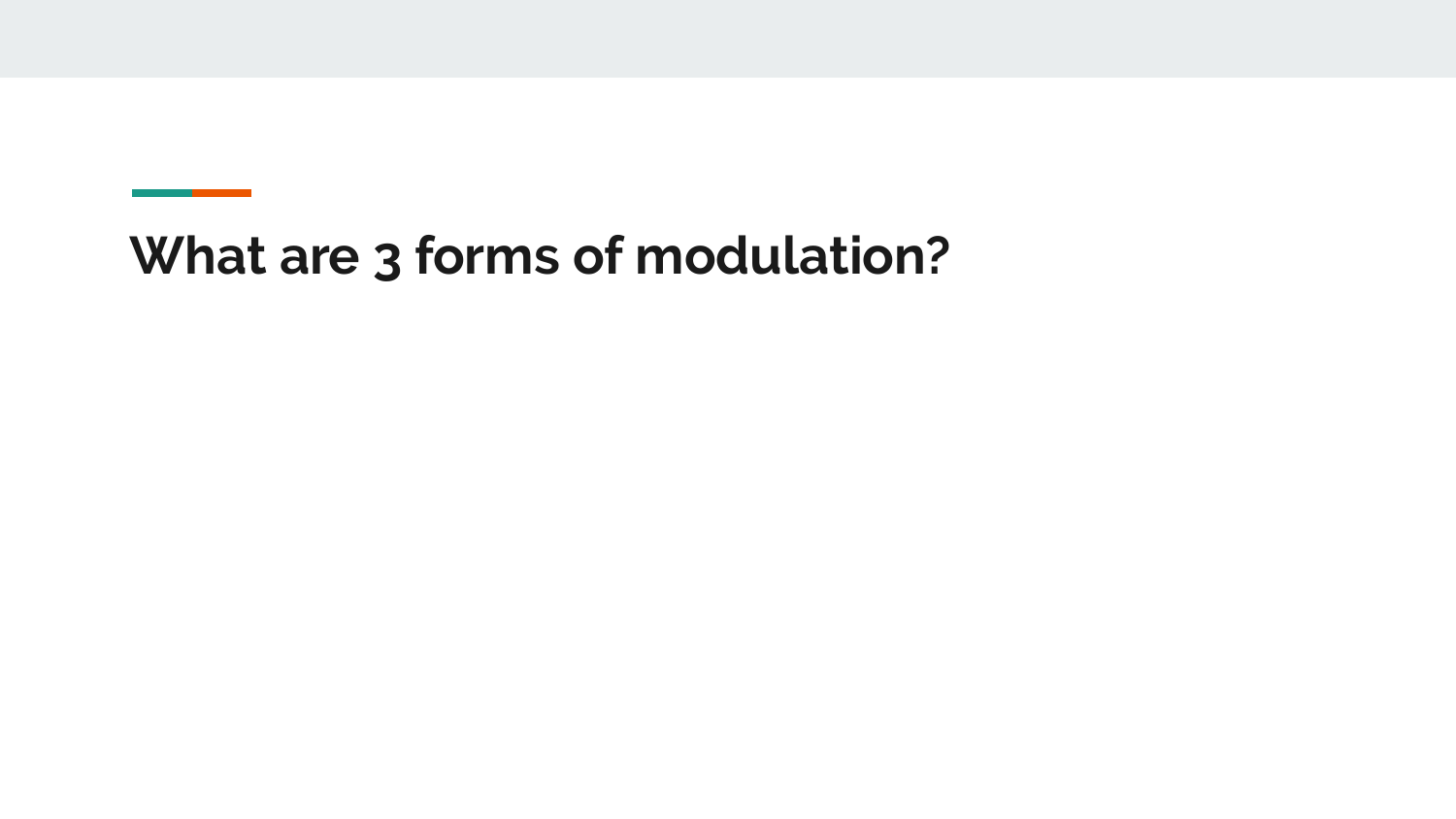## **What are 3 forms of modulation?**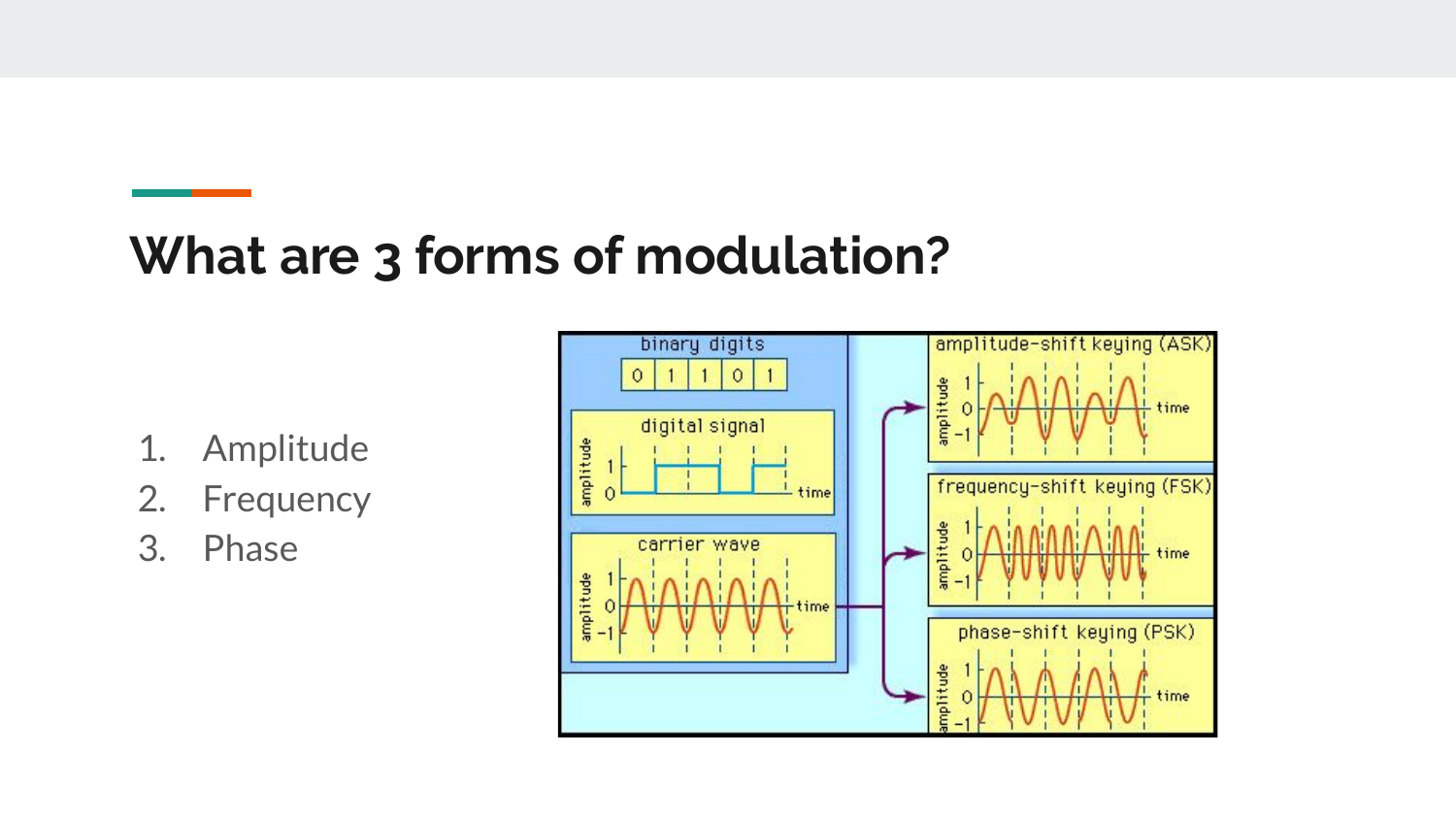## **What are 3 forms of modulation?**

- 1. Amplitude
- 2. Frequency
- 3. Phase

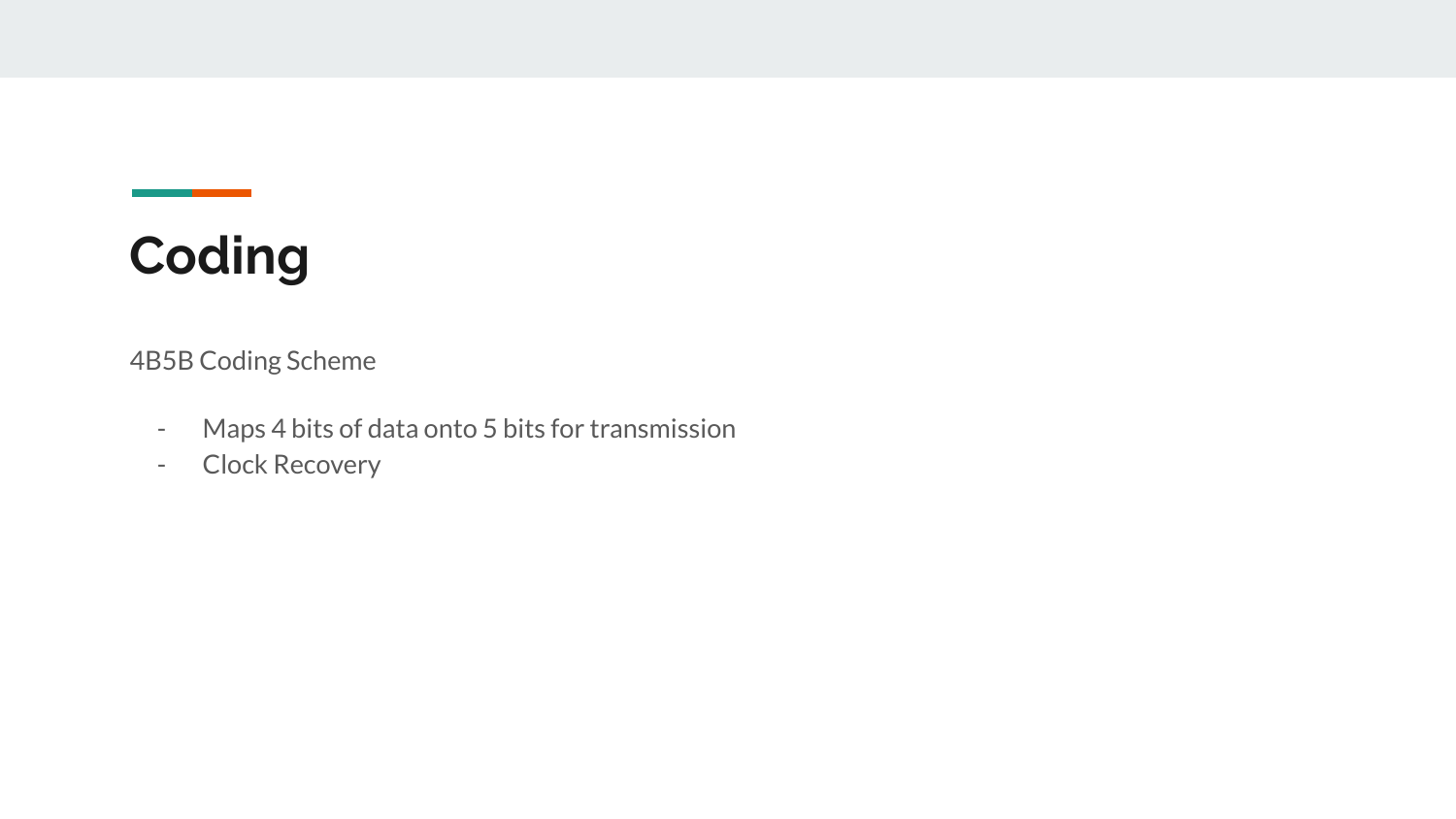# **Coding**

**Contract Contract** 

4B5B Coding Scheme

- Maps 4 bits of data onto 5 bits for transmission
- Clock Recovery